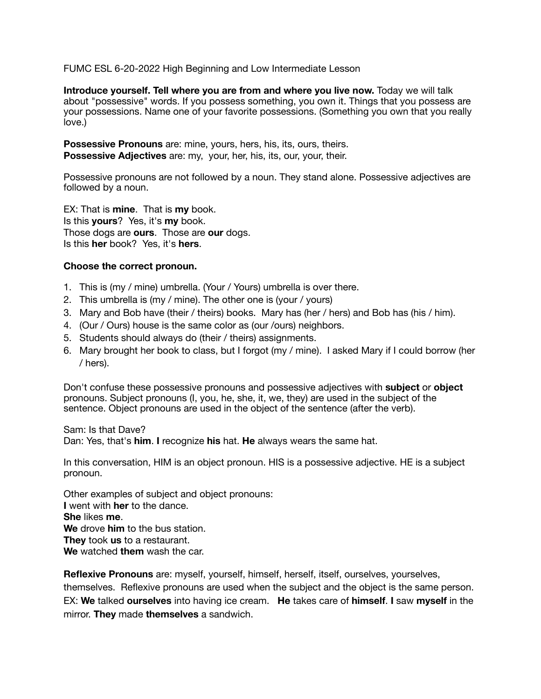FUMC ESL 6-20-2022 High Beginning and Low Intermediate Lesson

**Introduce yourself. Tell where you are from and where you live now.** Today we will talk about "possessive" words. If you possess something, you own it. Things that you possess are your possessions. Name one of your favorite possessions. (Something you own that you really love.)

**Possessive Pronouns** are: mine, yours, hers, his, its, ours, theirs. **Possessive Adjectives** are: my, your, her, his, its, our, your, their.

Possessive pronouns are not followed by a noun. They stand alone. Possessive adjectives are followed by a noun.

EX: That is **mine**. That is **my** book. Is this **yours**? Yes, it's **my** book. Those dogs are **ours**. Those are **our** dogs. Is this **her** book? Yes, it's **hers**.

### **Choose the correct pronoun.**

- 1. This is (my / mine) umbrella. (Your / Yours) umbrella is over there.
- 2. This umbrella is (my / mine). The other one is (your / yours)
- 3. Mary and Bob have (their / theirs) books. Mary has (her / hers) and Bob has (his / him).
- 4. (Our / Ours) house is the same color as (our /ours) neighbors.
- 5. Students should always do (their / theirs) assignments.
- 6. Mary brought her book to class, but I forgot (my / mine). I asked Mary if I could borrow (her / hers).

Don't confuse these possessive pronouns and possessive adjectives with **subject** or **object** pronouns. Subject pronouns (I, you, he, she, it, we, they) are used in the subject of the sentence. Object pronouns are used in the object of the sentence (after the verb).

Sam: Is that Dave?

Dan: Yes, that's **him**. **I** recognize **his** hat. **He** always wears the same hat.

In this conversation, HIM is an object pronoun. HIS is a possessive adjective. HE is a subject pronoun.

Other examples of subject and object pronouns: **I** went with **her** to the dance. **She** likes **me**. **We** drove **him** to the bus station. **They** took **us** to a restaurant. **We** watched **them** wash the car.

**Reflexive Pronouns** are: myself, yourself, himself, herself, itself, ourselves, yourselves, themselves. Reflexive pronouns are used when the subject and the object is the same person. EX: **We** talked **ourselves** into having ice cream. **He** takes care of **himself**. **I** saw **myself** in the mirror. **They** made **themselves** a sandwich.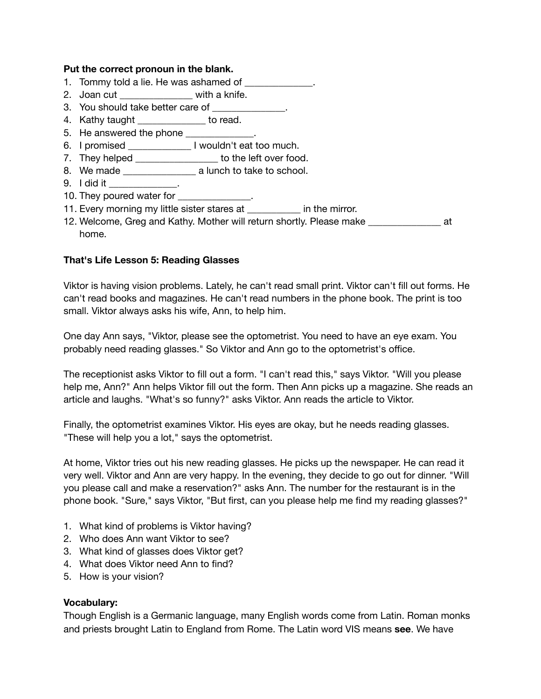### **Put the correct pronoun in the blank.**

- 1. Tommy told a lie. He was ashamed of \_\_\_\_\_\_\_\_\_\_\_\_\_\_.
- 2. Joan cut with a knife.
- 3. You should take better care of
- 4. Kathy taught \_\_\_\_\_\_\_\_\_\_\_\_\_ to read.
- 5. He answered the phone \_\_\_\_\_\_\_\_\_\_\_\_.
- 6. I promised \_\_\_\_\_\_\_\_\_\_\_\_\_ I wouldn't eat too much.
- 7. They helped \_\_\_\_\_\_\_\_\_\_\_\_\_\_\_\_\_\_ to the left over food.
- 8. We made \_\_\_\_\_\_\_\_\_\_\_\_\_\_\_ a lunch to take to school.
- $9.$  I did it  $\blacksquare$
- 10. They poured water for \_\_\_\_\_\_\_\_\_\_\_\_\_\_\_.
- 11. Every morning my little sister stares at **the mirror**.
- 12. Welcome, Greg and Kathy. Mother will return shortly. Please make \_\_\_\_\_\_\_\_\_\_\_\_\_\_\_ at home.

## **That's Life Lesson 5: Reading Glasses**

Viktor is having vision problems. Lately, he can't read small print. Viktor can't fill out forms. He can't read books and magazines. He can't read numbers in the phone book. The print is too small. Viktor always asks his wife, Ann, to help him.

One day Ann says, "Viktor, please see the optometrist. You need to have an eye exam. You probably need reading glasses." So Viktor and Ann go to the optometrist's office.

The receptionist asks Viktor to fill out a form. "I can't read this," says Viktor. "Will you please help me, Ann?" Ann helps Viktor fill out the form. Then Ann picks up a magazine. She reads an article and laughs. "What's so funny?" asks Viktor. Ann reads the article to Viktor.

Finally, the optometrist examines Viktor. His eyes are okay, but he needs reading glasses. "These will help you a lot," says the optometrist.

At home, Viktor tries out his new reading glasses. He picks up the newspaper. He can read it very well. Viktor and Ann are very happy. In the evening, they decide to go out for dinner. "Will you please call and make a reservation?" asks Ann. The number for the restaurant is in the phone book. "Sure," says Viktor, "But first, can you please help me find my reading glasses?"

- 1. What kind of problems is Viktor having?
- 2. Who does Ann want Viktor to see?
- 3. What kind of glasses does Viktor get?
- 4. What does Viktor need Ann to find?
- 5. How is your vision?

### **Vocabulary:**

Though English is a Germanic language, many English words come from Latin. Roman monks and priests brought Latin to England from Rome. The Latin word VIS means **see**. We have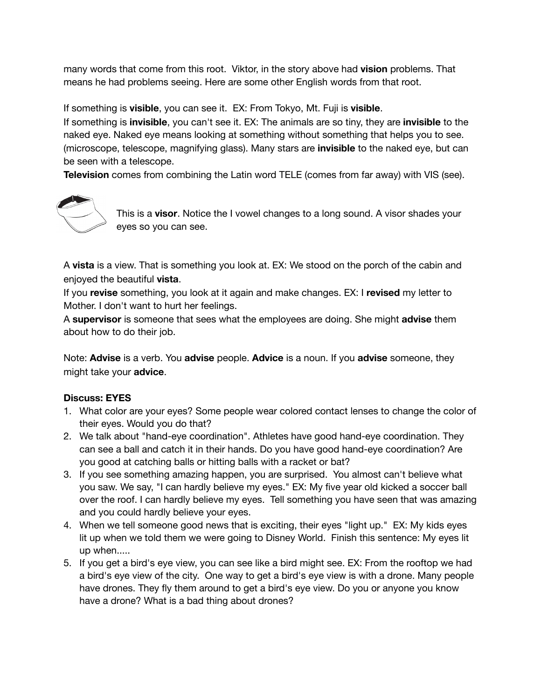many words that come from this root. Viktor, in the story above had **vision** problems. That means he had problems seeing. Here are some other English words from that root.

If something is **visible**, you can see it. EX: From Tokyo, Mt. Fuji is **visible**.

If something is **invisible**, you can't see it. EX: The animals are so tiny, they are **invisible** to the naked eye. Naked eye means looking at something without something that helps you to see. (microscope, telescope, magnifying glass). Many stars are **invisible** to the naked eye, but can be seen with a telescope.

**Television** comes from combining the Latin word TELE (comes from far away) with VIS (see).



This is a **visor**. Notice the I vowel changes to a long sound. A visor shades your eyes so you can see.

A **vista** is a view. That is something you look at. EX: We stood on the porch of the cabin and enjoyed the beautiful **vista**.

If you **revise** something, you look at it again and make changes. EX: I **revised** my letter to Mother. I don't want to hurt her feelings.

A **supervisor** is someone that sees what the employees are doing. She might **advise** them about how to do their job.

Note: **Advise** is a verb. You **advise** people. **Advice** is a noun. If you **advise** someone, they might take your **advice**.

# **Discuss: EYES**

- 1. What color are your eyes? Some people wear colored contact lenses to change the color of their eyes. Would you do that?
- 2. We talk about "hand-eye coordination". Athletes have good hand-eye coordination. They can see a ball and catch it in their hands. Do you have good hand-eye coordination? Are you good at catching balls or hitting balls with a racket or bat?
- 3. If you see something amazing happen, you are surprised. You almost can't believe what you saw. We say, "I can hardly believe my eyes." EX: My five year old kicked a soccer ball over the roof. I can hardly believe my eyes. Tell something you have seen that was amazing and you could hardly believe your eyes.
- 4. When we tell someone good news that is exciting, their eyes "light up." EX: My kids eyes lit up when we told them we were going to Disney World. Finish this sentence: My eyes lit up when.....
- 5. If you get a bird's eye view, you can see like a bird might see. EX: From the rooftop we had a bird's eye view of the city. One way to get a bird's eye view is with a drone. Many people have drones. They fly them around to get a bird's eye view. Do you or anyone you know have a drone? What is a bad thing about drones?